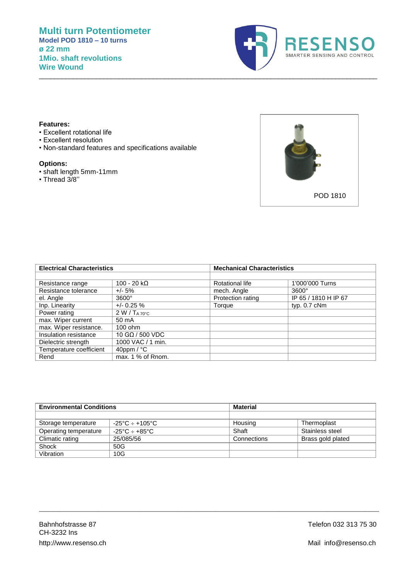

## **Features:**

- Excellent rotational life
- Excellent resolution
- Non-standard features and specifications available

## **Options:**

- shaft length 5mm-11mm
- Thread 3/8''



| <b>Electrical Characteristics</b> |                           | <b>Mechanical Characteristics</b> |                      |
|-----------------------------------|---------------------------|-----------------------------------|----------------------|
|                                   |                           |                                   |                      |
| Resistance range                  | $100 - 20$ kΩ             | Rotational life                   | 1'000'000 Turns      |
| Resistance tolerance              | $+/- 5%$                  | mech. Angle                       | $3600^\circ$         |
| el. Angle                         | $3600^\circ$              | Protection rating                 | IP 65 / 1810 H IP 67 |
| Inp. Linearity                    | $+/- 0.25 \%$             | Torque                            | typ. $0.7$ cNm       |
| Power rating                      | 2 W / T <sub>A 70°C</sub> |                                   |                      |
| max. Wiper current                | 50 mA                     |                                   |                      |
| max. Wiper resistance.            | $100$ ohm                 |                                   |                      |
| Insulation resistance             | 10 GΩ / 500 VDC           |                                   |                      |
| Dielectric strength               | 1000 VAC / 1 min.         |                                   |                      |
| Temperature coefficient           | 40ppm / $^{\circ}$ C      |                                   |                      |
| Rend                              | max. 1 % of Rnom.         |                                   |                      |

\_\_\_\_\_\_\_\_\_\_\_\_\_\_\_\_\_\_\_\_\_\_\_\_\_\_\_\_\_\_\_\_\_\_\_\_\_\_\_\_\_\_\_\_\_\_\_\_\_\_\_\_\_\_\_\_\_\_\_\_\_\_\_\_\_\_\_\_\_\_\_\_\_\_\_\_\_\_\_\_\_\_\_\_\_\_\_\_\_

| <b>Environmental Conditions</b> |                                      | <b>Material</b> |                   |
|---------------------------------|--------------------------------------|-----------------|-------------------|
|                                 |                                      |                 |                   |
| Storage temperature             | $-25^{\circ}$ C ÷ +105°C             | Housing         | Thermoplast       |
| Operating temperature           | $-25^{\circ}$ C $\div$ +85°C $^{-1}$ | Shaft           | Stainless steel   |
| Climatic rating                 | 25/085/56                            | Connections     | Brass gold plated |
| Shock                           | 50G                                  |                 |                   |
| Vibration                       | 10G                                  |                 |                   |

\_\_\_\_\_\_\_\_\_\_\_\_\_\_\_\_\_\_\_\_\_\_\_\_\_\_\_\_\_\_\_\_\_\_\_\_\_\_\_\_\_\_\_\_\_\_\_\_\_\_\_\_\_\_\_\_\_\_\_\_\_\_\_\_\_\_\_\_\_\_\_\_\_\_\_\_\_\_\_\_\_\_\_\_\_\_\_\_\_\_\_\_\_\_\_\_\_\_